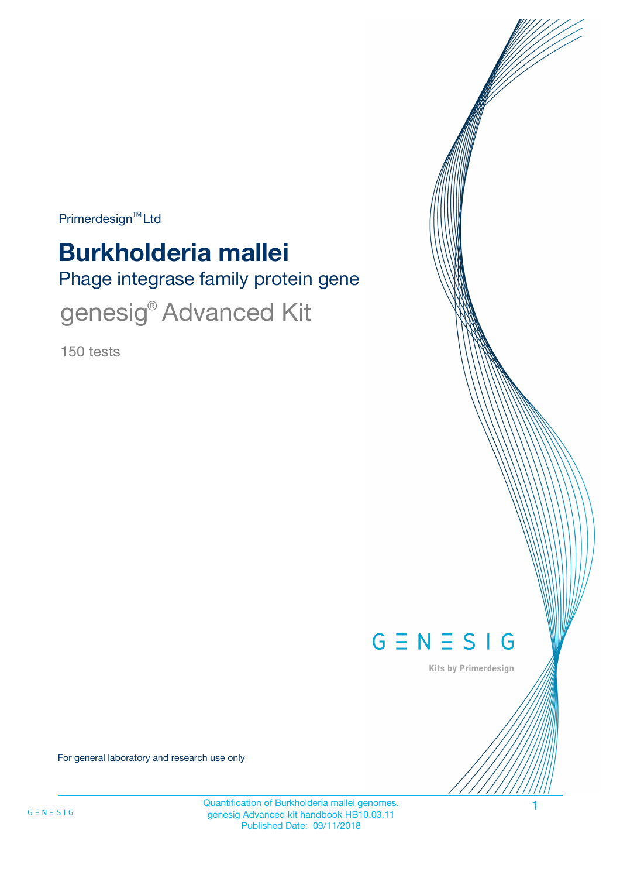Primerdesign<sup>™</sup>Ltd

# Phage integrase family protein gene **Burkholderia mallei**

genesig<sup>®</sup> Advanced Kit

150 tests



Kits by Primerdesign

For general laboratory and research use only

Quantification of Burkholderia mallei genomes. genesig Advanced kit handbook HB10.03.11 Published Date: 09/11/2018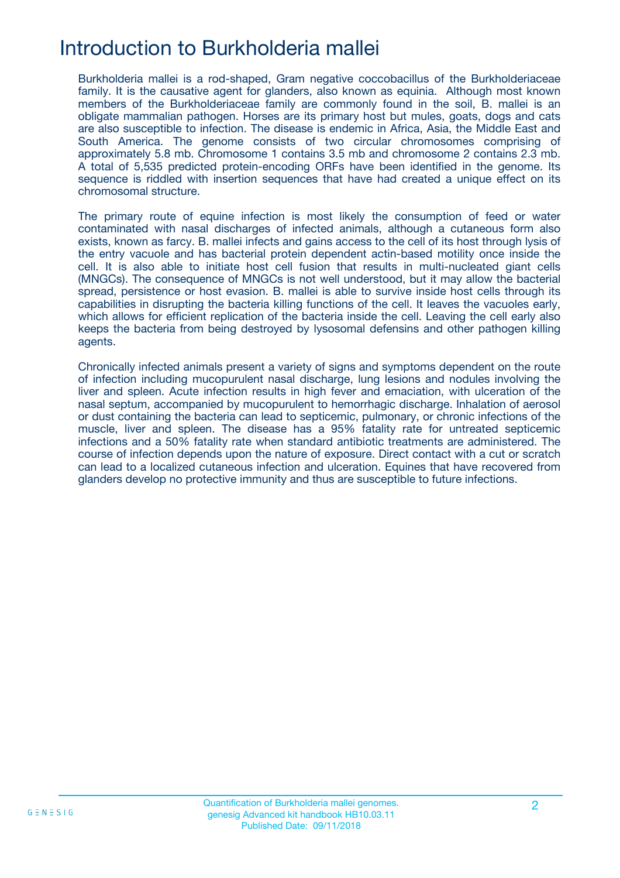## Introduction to Burkholderia mallei

Burkholderia mallei is a rod-shaped, Gram negative coccobacillus of the Burkholderiaceae family. It is the causative agent for glanders, also known as equinia. Although most known members of the Burkholderiaceae family are commonly found in the soil, B. mallei is an obligate mammalian pathogen. Horses are its primary host but mules, goats, dogs and cats are also susceptible to infection. The disease is endemic in Africa, Asia, the Middle East and South America. The genome consists of two circular chromosomes comprising of approximately 5.8 mb. Chromosome 1 contains 3.5 mb and chromosome 2 contains 2.3 mb. A total of 5,535 predicted protein-encoding ORFs have been identified in the genome. Its sequence is riddled with insertion sequences that have had created a unique effect on its chromosomal structure.

The primary route of equine infection is most likely the consumption of feed or water contaminated with nasal discharges of infected animals, although a cutaneous form also exists, known as farcy. B. mallei infects and gains access to the cell of its host through lysis of the entry vacuole and has bacterial protein dependent actin-based motility once inside the cell. It is also able to initiate host cell fusion that results in multi-nucleated giant cells (MNGCs). The consequence of MNGCs is not well understood, but it may allow the bacterial spread, persistence or host evasion. B. mallei is able to survive inside host cells through its capabilities in disrupting the bacteria killing functions of the cell. It leaves the vacuoles early, which allows for efficient replication of the bacteria inside the cell. Leaving the cell early also keeps the bacteria from being destroyed by lysosomal defensins and other pathogen killing agents.

Chronically infected animals present a variety of signs and symptoms dependent on the route of infection including mucopurulent nasal discharge, lung lesions and nodules involving the liver and spleen. Acute infection results in high fever and emaciation, with ulceration of the nasal septum, accompanied by mucopurulent to hemorrhagic discharge. Inhalation of aerosol or dust containing the bacteria can lead to septicemic, pulmonary, or chronic infections of the muscle, liver and spleen. The disease has a 95% fatality rate for untreated septicemic infections and a 50% fatality rate when standard antibiotic treatments are administered. The course of infection depends upon the nature of exposure. Direct contact with a cut or scratch can lead to a localized cutaneous infection and ulceration. Equines that have recovered from glanders develop no protective immunity and thus are susceptible to future infections.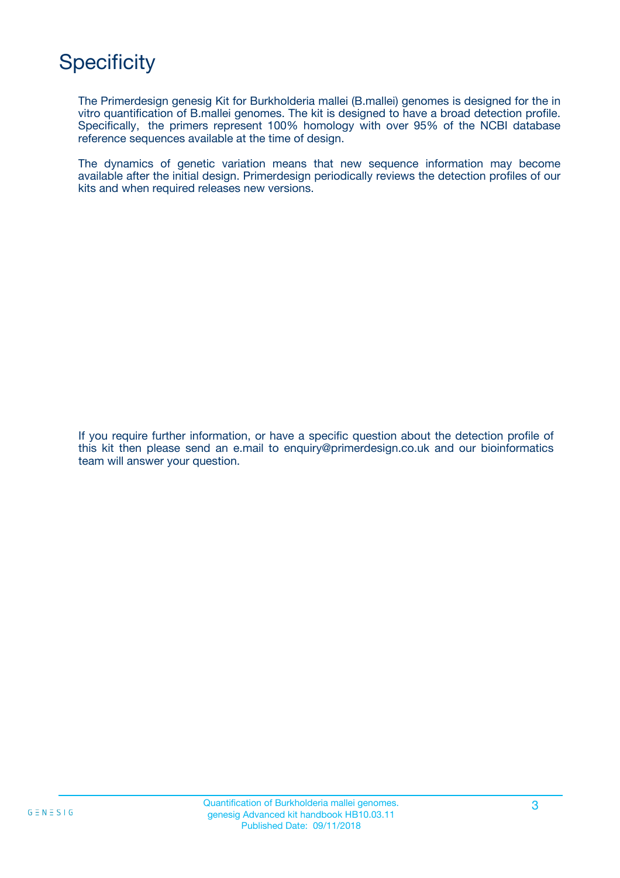# **Specificity**

The Primerdesign genesig Kit for Burkholderia mallei (B.mallei) genomes is designed for the in vitro quantification of B.mallei genomes. The kit is designed to have a broad detection profile. Specifically, the primers represent 100% homology with over 95% of the NCBI database reference sequences available at the time of design.

The dynamics of genetic variation means that new sequence information may become available after the initial design. Primerdesign periodically reviews the detection profiles of our kits and when required releases new versions.

If you require further information, or have a specific question about the detection profile of this kit then please send an e.mail to enquiry@primerdesign.co.uk and our bioinformatics team will answer your question.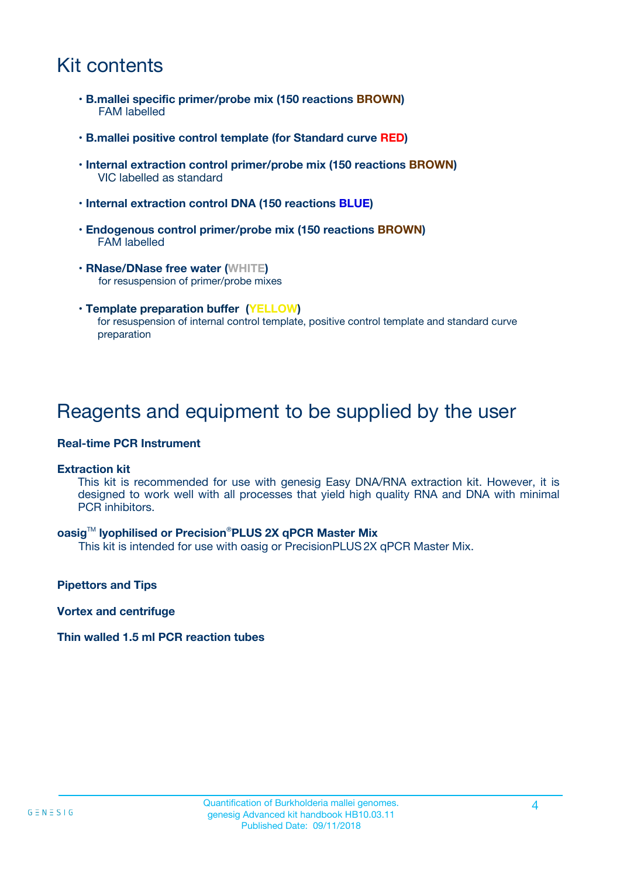## Kit contents

- **B.mallei specific primer/probe mix (150 reactions BROWN)** FAM labelled
- **B.mallei positive control template (for Standard curve RED)**
- **Internal extraction control primer/probe mix (150 reactions BROWN)** VIC labelled as standard
- **Internal extraction control DNA (150 reactions BLUE)**
- **Endogenous control primer/probe mix (150 reactions BROWN)** FAM labelled
- **RNase/DNase free water (WHITE)** for resuspension of primer/probe mixes
- **Template preparation buffer (YELLOW)** for resuspension of internal control template, positive control template and standard curve preparation

### Reagents and equipment to be supplied by the user

#### **Real-time PCR Instrument**

#### **Extraction kit**

This kit is recommended for use with genesig Easy DNA/RNA extraction kit. However, it is designed to work well with all processes that yield high quality RNA and DNA with minimal PCR inhibitors.

#### **oasig**TM **lyophilised or Precision**®**PLUS 2X qPCR Master Mix**

This kit is intended for use with oasig or PrecisionPLUS2X qPCR Master Mix.

**Pipettors and Tips**

**Vortex and centrifuge**

#### **Thin walled 1.5 ml PCR reaction tubes**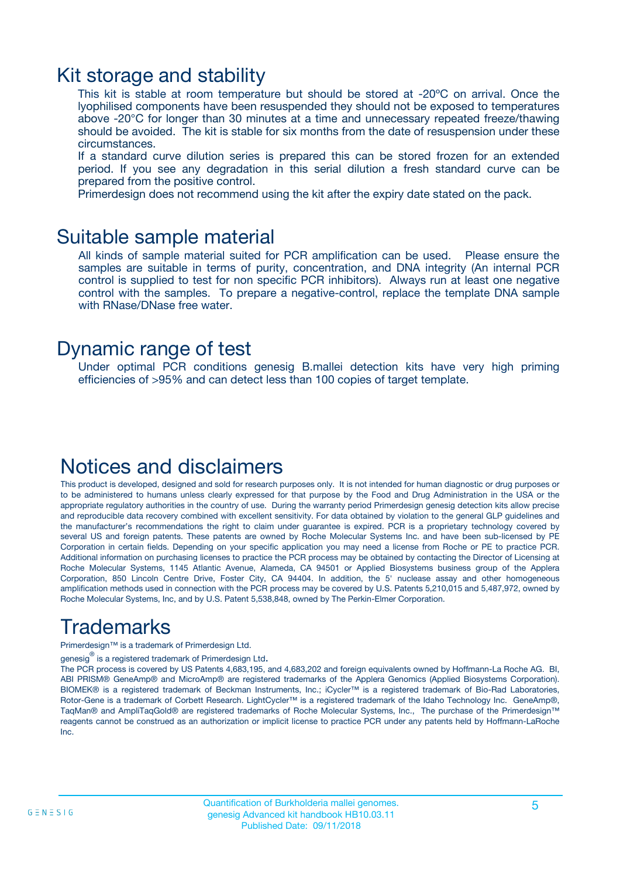### Kit storage and stability

This kit is stable at room temperature but should be stored at -20ºC on arrival. Once the lyophilised components have been resuspended they should not be exposed to temperatures above -20°C for longer than 30 minutes at a time and unnecessary repeated freeze/thawing should be avoided. The kit is stable for six months from the date of resuspension under these circumstances.

If a standard curve dilution series is prepared this can be stored frozen for an extended period. If you see any degradation in this serial dilution a fresh standard curve can be prepared from the positive control.

Primerdesign does not recommend using the kit after the expiry date stated on the pack.

### Suitable sample material

All kinds of sample material suited for PCR amplification can be used. Please ensure the samples are suitable in terms of purity, concentration, and DNA integrity (An internal PCR control is supplied to test for non specific PCR inhibitors). Always run at least one negative control with the samples. To prepare a negative-control, replace the template DNA sample with RNase/DNase free water.

### Dynamic range of test

Under optimal PCR conditions genesig B.mallei detection kits have very high priming efficiencies of >95% and can detect less than 100 copies of target template.

### Notices and disclaimers

This product is developed, designed and sold for research purposes only. It is not intended for human diagnostic or drug purposes or to be administered to humans unless clearly expressed for that purpose by the Food and Drug Administration in the USA or the appropriate regulatory authorities in the country of use. During the warranty period Primerdesign genesig detection kits allow precise and reproducible data recovery combined with excellent sensitivity. For data obtained by violation to the general GLP guidelines and the manufacturer's recommendations the right to claim under guarantee is expired. PCR is a proprietary technology covered by several US and foreign patents. These patents are owned by Roche Molecular Systems Inc. and have been sub-licensed by PE Corporation in certain fields. Depending on your specific application you may need a license from Roche or PE to practice PCR. Additional information on purchasing licenses to practice the PCR process may be obtained by contacting the Director of Licensing at Roche Molecular Systems, 1145 Atlantic Avenue, Alameda, CA 94501 or Applied Biosystems business group of the Applera Corporation, 850 Lincoln Centre Drive, Foster City, CA 94404. In addition, the 5' nuclease assay and other homogeneous amplification methods used in connection with the PCR process may be covered by U.S. Patents 5,210,015 and 5,487,972, owned by Roche Molecular Systems, Inc, and by U.S. Patent 5,538,848, owned by The Perkin-Elmer Corporation.

# Trademarks

Primerdesign™ is a trademark of Primerdesign Ltd.

genesig $^\circledR$  is a registered trademark of Primerdesign Ltd.

The PCR process is covered by US Patents 4,683,195, and 4,683,202 and foreign equivalents owned by Hoffmann-La Roche AG. BI, ABI PRISM® GeneAmp® and MicroAmp® are registered trademarks of the Applera Genomics (Applied Biosystems Corporation). BIOMEK® is a registered trademark of Beckman Instruments, Inc.; iCycler™ is a registered trademark of Bio-Rad Laboratories, Rotor-Gene is a trademark of Corbett Research. LightCycler™ is a registered trademark of the Idaho Technology Inc. GeneAmp®, TaqMan® and AmpliTaqGold® are registered trademarks of Roche Molecular Systems, Inc., The purchase of the Primerdesign™ reagents cannot be construed as an authorization or implicit license to practice PCR under any patents held by Hoffmann-LaRoche Inc.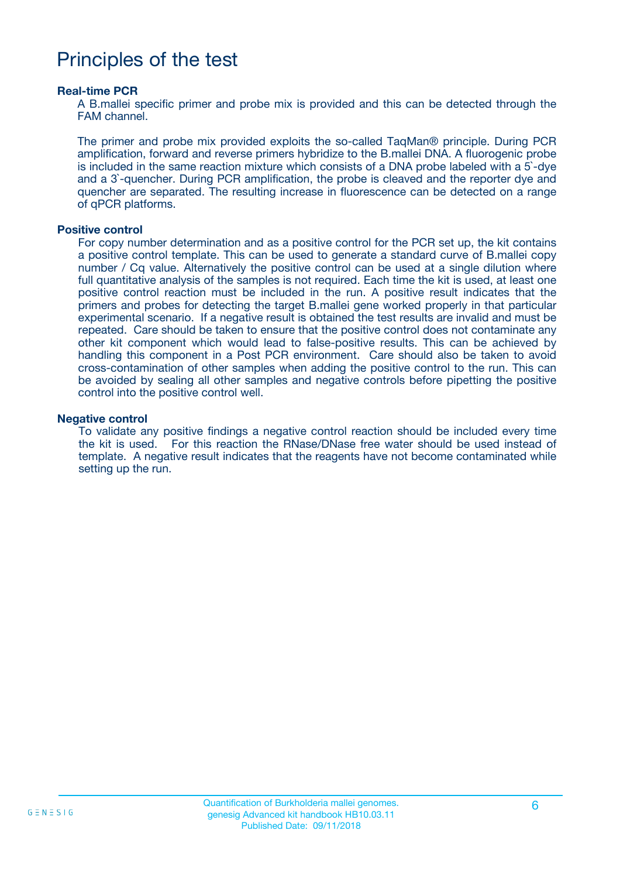## Principles of the test

#### **Real-time PCR**

A B.mallei specific primer and probe mix is provided and this can be detected through the FAM channel.

The primer and probe mix provided exploits the so-called TaqMan® principle. During PCR amplification, forward and reverse primers hybridize to the B.mallei DNA. A fluorogenic probe is included in the same reaction mixture which consists of a DNA probe labeled with a 5`-dye and a 3`-quencher. During PCR amplification, the probe is cleaved and the reporter dye and quencher are separated. The resulting increase in fluorescence can be detected on a range of qPCR platforms.

#### **Positive control**

For copy number determination and as a positive control for the PCR set up, the kit contains a positive control template. This can be used to generate a standard curve of B.mallei copy number / Cq value. Alternatively the positive control can be used at a single dilution where full quantitative analysis of the samples is not required. Each time the kit is used, at least one positive control reaction must be included in the run. A positive result indicates that the primers and probes for detecting the target B.mallei gene worked properly in that particular experimental scenario. If a negative result is obtained the test results are invalid and must be repeated. Care should be taken to ensure that the positive control does not contaminate any other kit component which would lead to false-positive results. This can be achieved by handling this component in a Post PCR environment. Care should also be taken to avoid cross-contamination of other samples when adding the positive control to the run. This can be avoided by sealing all other samples and negative controls before pipetting the positive control into the positive control well.

#### **Negative control**

To validate any positive findings a negative control reaction should be included every time the kit is used. For this reaction the RNase/DNase free water should be used instead of template. A negative result indicates that the reagents have not become contaminated while setting up the run.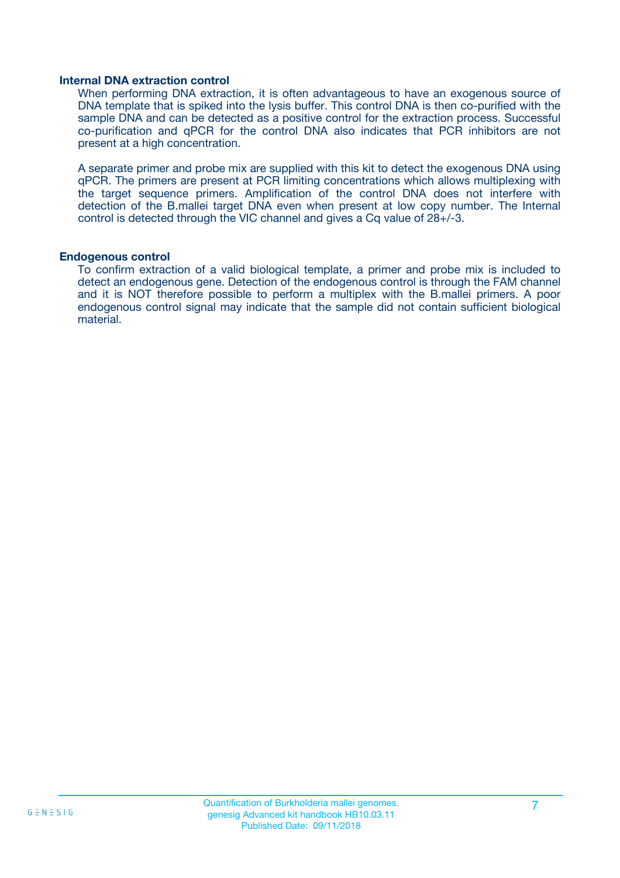#### **Internal DNA extraction control**

When performing DNA extraction, it is often advantageous to have an exogenous source of DNA template that is spiked into the lysis buffer. This control DNA is then co-purified with the sample DNA and can be detected as a positive control for the extraction process. Successful co-purification and qPCR for the control DNA also indicates that PCR inhibitors are not present at a high concentration.

A separate primer and probe mix are supplied with this kit to detect the exogenous DNA using qPCR. The primers are present at PCR limiting concentrations which allows multiplexing with the target sequence primers. Amplification of the control DNA does not interfere with detection of the B.mallei target DNA even when present at low copy number. The Internal control is detected through the VIC channel and gives a Cq value of 28+/-3.

#### **Endogenous control**

To confirm extraction of a valid biological template, a primer and probe mix is included to detect an endogenous gene. Detection of the endogenous control is through the FAM channel and it is NOT therefore possible to perform a multiplex with the B.mallei primers. A poor endogenous control signal may indicate that the sample did not contain sufficient biological material.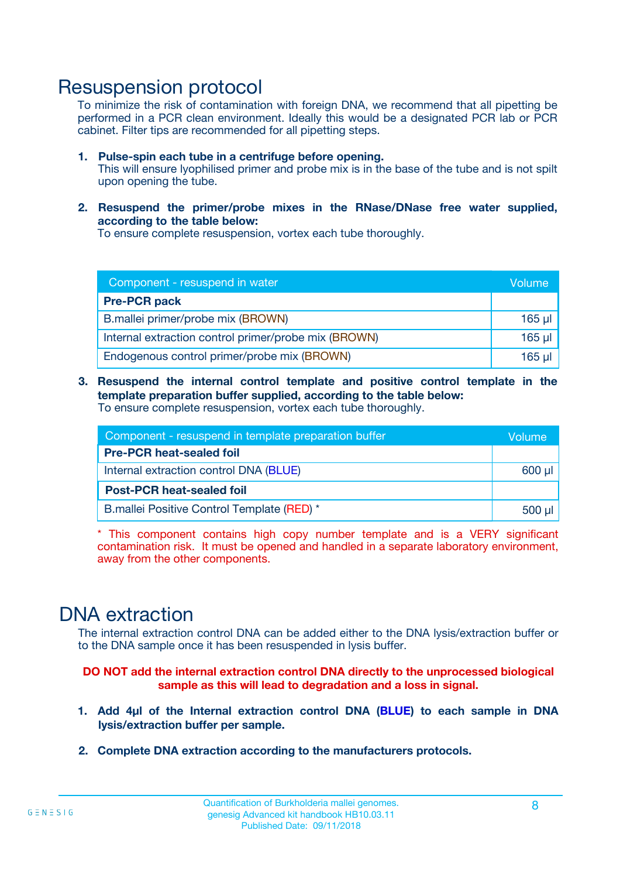### Resuspension protocol

To minimize the risk of contamination with foreign DNA, we recommend that all pipetting be performed in a PCR clean environment. Ideally this would be a designated PCR lab or PCR cabinet. Filter tips are recommended for all pipetting steps.

- **1. Pulse-spin each tube in a centrifuge before opening.** This will ensure lyophilised primer and probe mix is in the base of the tube and is not spilt upon opening the tube.
- **2. Resuspend the primer/probe mixes in the RNase/DNase free water supplied, according to the table below:**

To ensure complete resuspension, vortex each tube thoroughly.

| Component - resuspend in water                       |             |  |
|------------------------------------------------------|-------------|--|
| <b>Pre-PCR pack</b>                                  |             |  |
| B.mallei primer/probe mix (BROWN)                    | $165$ $\mu$ |  |
| Internal extraction control primer/probe mix (BROWN) | $165$ $\mu$ |  |
| Endogenous control primer/probe mix (BROWN)          | $165$ µl    |  |

**3. Resuspend the internal control template and positive control template in the template preparation buffer supplied, according to the table below:** To ensure complete resuspension, vortex each tube thoroughly.

| Component - resuspend in template preparation buffer |  |  |  |
|------------------------------------------------------|--|--|--|
| <b>Pre-PCR heat-sealed foil</b>                      |  |  |  |
| Internal extraction control DNA (BLUE)               |  |  |  |
| <b>Post-PCR heat-sealed foil</b>                     |  |  |  |
| B.mallei Positive Control Template (RED) *           |  |  |  |

\* This component contains high copy number template and is a VERY significant contamination risk. It must be opened and handled in a separate laboratory environment, away from the other components.

### DNA extraction

The internal extraction control DNA can be added either to the DNA lysis/extraction buffer or to the DNA sample once it has been resuspended in lysis buffer.

**DO NOT add the internal extraction control DNA directly to the unprocessed biological sample as this will lead to degradation and a loss in signal.**

- **1. Add 4µl of the Internal extraction control DNA (BLUE) to each sample in DNA lysis/extraction buffer per sample.**
- **2. Complete DNA extraction according to the manufacturers protocols.**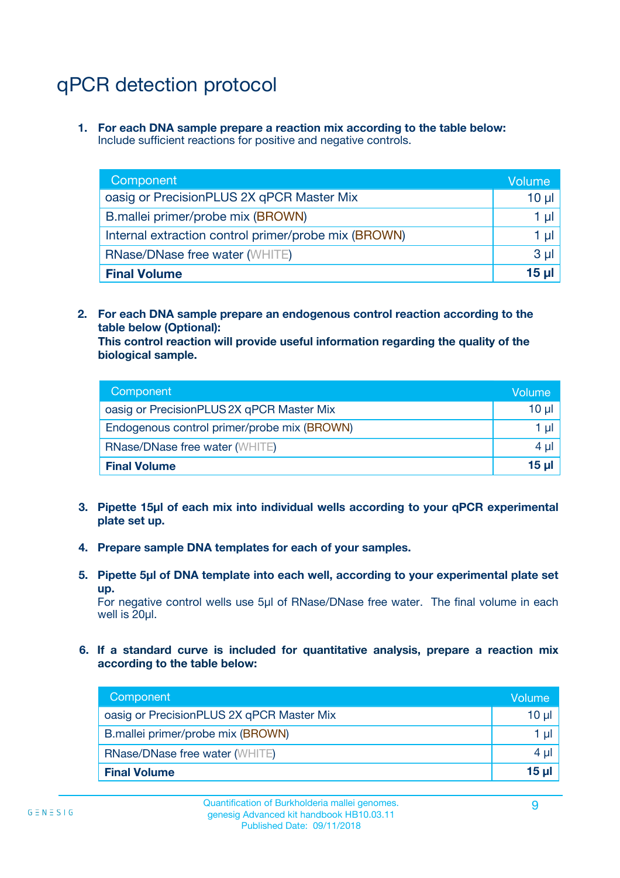# qPCR detection protocol

**1. For each DNA sample prepare a reaction mix according to the table below:** Include sufficient reactions for positive and negative controls.

| Component                                            | Volume   |
|------------------------------------------------------|----------|
| oasig or PrecisionPLUS 2X qPCR Master Mix            | $10 \mu$ |
| B.mallei primer/probe mix (BROWN)                    | 1 µI l   |
| Internal extraction control primer/probe mix (BROWN) | 1 µl     |
| <b>RNase/DNase free water (WHITE)</b>                | $3 \mu$  |
| <b>Final Volume</b>                                  | 15 µl    |

**2. For each DNA sample prepare an endogenous control reaction according to the table below (Optional):**

**This control reaction will provide useful information regarding the quality of the biological sample.**

| Component                                   | Volume   |
|---------------------------------------------|----------|
| oasig or PrecisionPLUS 2X qPCR Master Mix   | $10 \mu$ |
| Endogenous control primer/probe mix (BROWN) | 1 µI     |
| <b>RNase/DNase free water (WHITE)</b>       | $4 \mu$  |
| <b>Final Volume</b>                         | 15 µl    |

- **3. Pipette 15µl of each mix into individual wells according to your qPCR experimental plate set up.**
- **4. Prepare sample DNA templates for each of your samples.**
- **5. Pipette 5µl of DNA template into each well, according to your experimental plate set up.**

For negative control wells use 5µl of RNase/DNase free water. The final volume in each well is 20ul.

**6. If a standard curve is included for quantitative analysis, prepare a reaction mix according to the table below:**

| Component                                 | Volume          |
|-------------------------------------------|-----------------|
| oasig or PrecisionPLUS 2X qPCR Master Mix | 10 µl           |
| B.mallei primer/probe mix (BROWN)         |                 |
| <b>RNase/DNase free water (WHITE)</b>     | $4 \mu$         |
| <b>Final Volume</b>                       | 15 <sub>µ</sub> |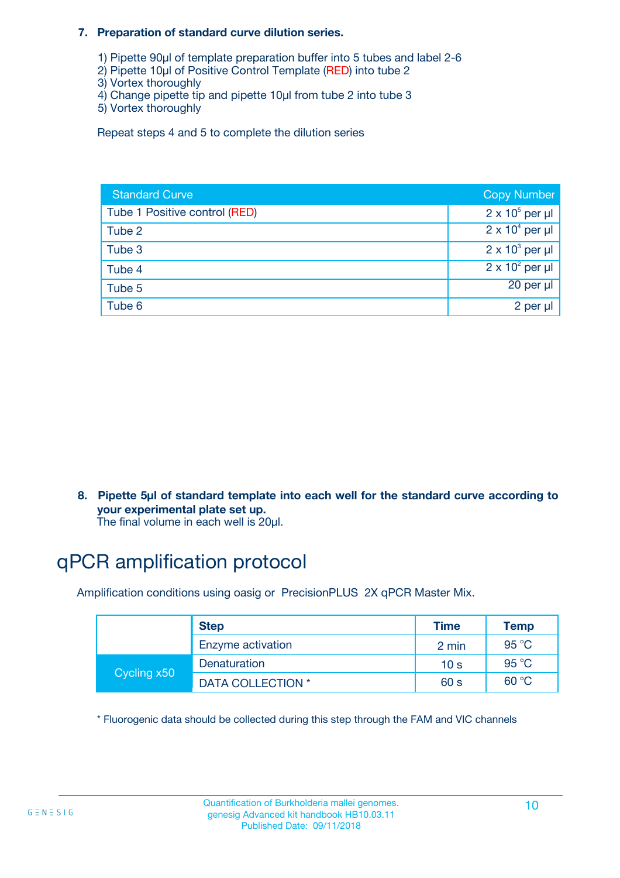#### **7. Preparation of standard curve dilution series.**

- 1) Pipette 90µl of template preparation buffer into 5 tubes and label 2-6
- 2) Pipette 10µl of Positive Control Template (RED) into tube 2
- 3) Vortex thoroughly
- 4) Change pipette tip and pipette 10µl from tube 2 into tube 3
- 5) Vortex thoroughly

Repeat steps 4 and 5 to complete the dilution series

| <b>Standard Curve</b>         | <b>Copy Number</b>     |
|-------------------------------|------------------------|
| Tube 1 Positive control (RED) | $2 \times 10^5$ per µl |
| Tube 2                        | $2 \times 10^4$ per µl |
| Tube 3                        | $2 \times 10^3$ per µl |
| Tube 4                        | $2 \times 10^2$ per µl |
| Tube 5                        | 20 per µl              |
| Tube 6                        | 2 per µl               |

**8. Pipette 5µl of standard template into each well for the standard curve according to your experimental plate set up.**

#### The final volume in each well is 20µl.

# qPCR amplification protocol

Amplification conditions using oasig or PrecisionPLUS 2X qPCR Master Mix.

|             | <b>Step</b>       | <b>Time</b>     | Temp    |
|-------------|-------------------|-----------------|---------|
|             | Enzyme activation | 2 min           | 95 °C   |
| Cycling x50 | Denaturation      | 10 <sub>s</sub> | 95 $°C$ |
|             | DATA COLLECTION * | 60 s            | 60 °C   |

\* Fluorogenic data should be collected during this step through the FAM and VIC channels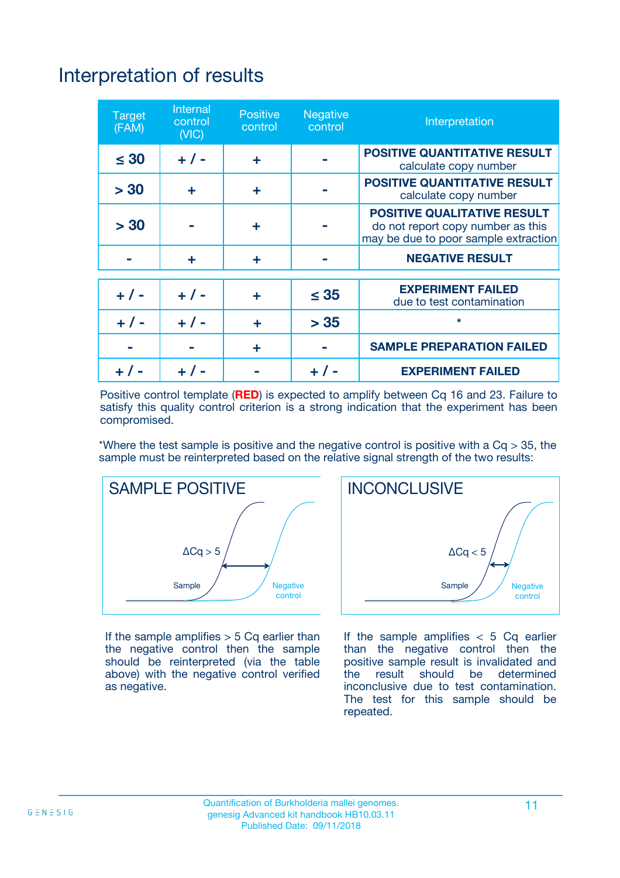# Interpretation of results

| <b>Target</b><br>(FAM) | <b>Internal</b><br>control<br>(NIC) | <b>Positive</b><br>control | <b>Negative</b><br>control | Interpretation                                                                                                  |
|------------------------|-------------------------------------|----------------------------|----------------------------|-----------------------------------------------------------------------------------------------------------------|
| $\leq 30$              | $+ 1 -$                             | ÷                          |                            | <b>POSITIVE QUANTITATIVE RESULT</b><br>calculate copy number                                                    |
| > 30                   | ٠                                   | ÷                          |                            | <b>POSITIVE QUANTITATIVE RESULT</b><br>calculate copy number                                                    |
| > 30                   |                                     | ÷                          |                            | <b>POSITIVE QUALITATIVE RESULT</b><br>do not report copy number as this<br>may be due to poor sample extraction |
|                        | ÷                                   | ÷                          |                            | <b>NEGATIVE RESULT</b>                                                                                          |
| $+ 1 -$                | $+ 1 -$                             | ÷                          | $\leq$ 35                  | <b>EXPERIMENT FAILED</b><br>due to test contamination                                                           |
| $+$ / -                | $+ 1 -$                             | ÷                          | > 35                       | $\star$                                                                                                         |
|                        |                                     | ÷                          |                            | <b>SAMPLE PREPARATION FAILED</b>                                                                                |
|                        |                                     |                            | $+$ /                      | <b>EXPERIMENT FAILED</b>                                                                                        |

Positive control template (**RED**) is expected to amplify between Cq 16 and 23. Failure to satisfy this quality control criterion is a strong indication that the experiment has been compromised.

\*Where the test sample is positive and the negative control is positive with a  $Ca > 35$ , the sample must be reinterpreted based on the relative signal strength of the two results:



If the sample amplifies  $> 5$  Cq earlier than the negative control then the sample should be reinterpreted (via the table above) with the negative control verified as negative.



If the sample amplifies  $< 5$  Cq earlier than the negative control then the positive sample result is invalidated and<br>the result should be determined  $the$  result should be inconclusive due to test contamination. The test for this sample should be repeated.